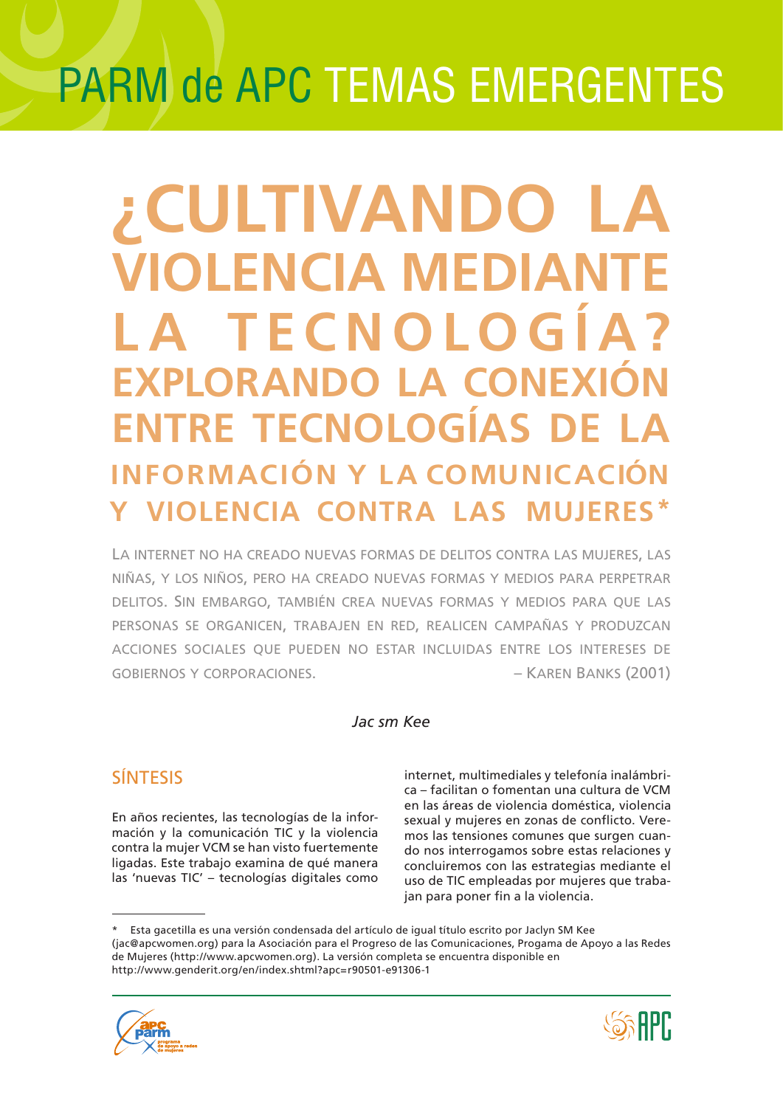# **PARM de APC TEMAS EMERGÉNTES**

## ¿CULTIVANDO LA **VIOLENCIA MEDIANTE** LA TECNOLOGÍA? **EXPLORANDO LA CONEXIÓN ENTRE TECNOLOGÍAS DE INFORMACIÓN Y LA COMUNICACIÓN VIOLENCIA CONTRA LAS**

LA INTERNET NO HA CREADO NUEVAS FORMAS DE DELITOS CONTRA LAS MUJERES, LAS NIÑAS, Y LOS NIÑOS, PERO HA CREADO NUEVAS FORMAS Y MEDIOS PARA PERPETRAR DELITOS. SIN EMBARGO, TAMBIÉN CREA NUEVAS FORMAS Y MEDIOS PARA QUE LAS PERSONAS SE ORGANICEN, TRABAJEN EN RED, REALICEN CAMPAÑAS Y PRODUZCAN ACCIONES SOCIALES OUE PUEDEN NO ESTAR INCLUIDAS ENTRE LOS INTERESES DE - KAREN BANKS (2001) **GOBIERNOS Y CORPORACIONES.** 

#### Jac sm Kee

## **SÍNTESIS**

En años recientes, las tecnologías de la información y la comunicación TIC y la violencia contra la mujer VCM se han visto fuertemente ligadas. Este trabajo examina de qué manera las 'nuevas TIC' - tecnologías digitales como

internet, multimediales y telefonía inalámbrica - facilitan o fomentan una cultura de VCM en las áreas de violencia doméstica, violencia sexual y mujeres en zonas de conflicto. Veremos las tensiones comunes que surgen cuando nos interrogamos sobre estas relaciones y concluiremos con las estrategias mediante el uso de TIC empleadas por mujeres que trabajan para poner fin a la violencia.

Esta gacetilla es una versión condensada del artículo de igual título escrito por Jaclyn SM Kee (jac@apcwomen.org) para la Asociación para el Progreso de las Comunicaciones, Progama de Apoyo a las Redes de Mujeres (http://www.apcwomen.org). La versión completa se encuentra disponible en http://www.genderit.org/en/index.shtml?apc=r90501-e91306-1



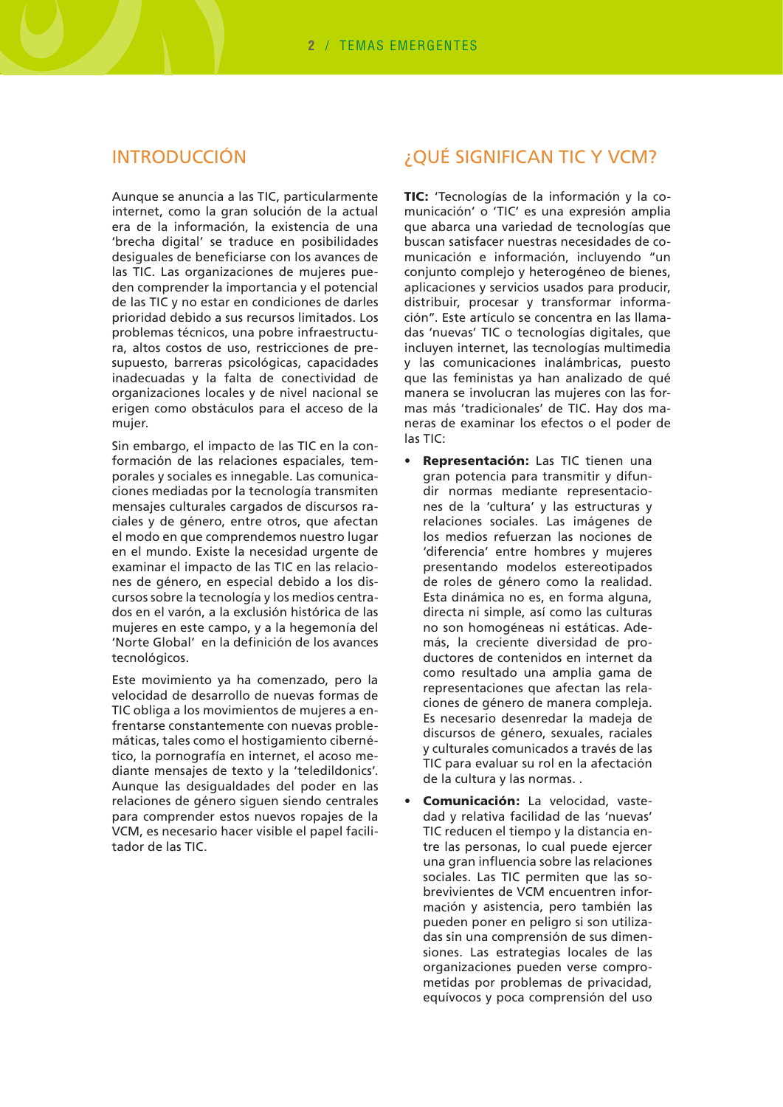## **INTRODUCCIÓN**

Aunque se anuncia a las TIC, particularmente internet, como la gran solución de la actual era de la información, la existencia de una 'brecha digital' se traduce en posibilidades desiguales de beneficiarse con los avances de las TIC. Las organizaciones de mujeres pueden comprender la importancia y el potencial de las TIC y no estar en condiciones de darles prioridad debido a sus recursos limitados. Los problemas técnicos, una pobre infraestructura, altos costos de uso, restricciones de presupuesto, barreras psicológicas, capacidades inadecuadas y la falta de conectividad de organizaciones locales y de nivel nacional se erigen como obstáculos para el acceso de la mujer.

Sin embargo, el impacto de las TIC en la conformación de las relaciones espaciales, temporales y sociales es innegable. Las comunicaciones mediadas por la tecnología transmiten mensajes culturales cargados de discursos raciales y de género, entre otros, que afectan el modo en que comprendemos nuestro lugar en el mundo. Existe la necesidad urgente de examinar el impacto de las TIC en las relaciones de género, en especial debido a los discursos sobre la tecnología y los medios centrados en el varón, a la exclusión histórica de las mujeres en este campo, y a la hegemonía del 'Norte Global' en la definición de los avances tecnológicos.

Este movimiento ya ha comenzado, pero la velocidad de desarrollo de nuevas formas de TIC obliga a los movimientos de mujeres a enfrentarse constantemente con nuevas problemáticas, tales como el hostigamiento cibernético, la pornografía en internet, el acoso mediante mensajes de texto y la 'teledildonics'. Aunque las desigualdades del poder en las relaciones de género siguen siendo centrales para comprender estos nuevos ropajes de la VCM, es necesario hacer visible el papel facilitador de las TIC

## ¿QUÉ SIGNIFICAN TIC Y VCM?

TIC: 'Tecnologías de la información y la comunicación' o 'TIC' es una expresión amplia que abarca una variedad de tecnologías que buscan satisfacer nuestras necesidades de comunicación e información, incluyendo "un conjunto complejo y heterogéneo de bienes, aplicaciones y servicios usados para producir, distribuir, procesar y transformar información". Este artículo se concentra en las llamadas 'nuevas' TIC o tecnologías digitales, que incluyen internet, las tecnologías multimedia y las comunicaciones inalámbricas, puesto que las feministas ya han analizado de qué manera se involucran las mujeres con las formas más 'tradicionales' de TIC. Hay dos maneras de examinar los efectos o el poder de  $\text{las}$  TIC:

- · Representación: Las TIC tienen una gran potencia para transmitir y difundir normas mediante representaciones de la 'cultura' y las estructuras y relaciones sociales. Las imágenes de los medios refuerzan las nociones de 'diferencia' entre hombres y mujeres presentando modelos estereotipados de roles de género como la realidad. Esta dinámica no es, en forma alguna, directa ni simple, así como las culturas no son homogéneas ni estáticas. Además. la creciente diversidad de productores de contenidos en internet da como resultado una amplia gama de representaciones que afectan las relaciones de género de manera compleja. Es necesario desenredar la madeja de discursos de género, sexuales, raciales y culturales comunicados a través de las TIC para evaluar su rol en la afectación de la cultura y las normas...
- Comunicación: La velocidad, vastedad y relativa facilidad de las 'nuevas' TIC reducen el tiempo y la distancia entre las personas, lo cual puede ejercer una gran influencia sobre las relaciones sociales. Las TIC permiten que las sobrevivientes de VCM encuentren información y asistencia, pero también las pueden poner en peligro si son utilizadas sin una comprensión de sus dimensiones. Las estrategias locales de las organizaciones pueden verse comprometidas por problemas de privacidad, equívocos y poca comprensión del uso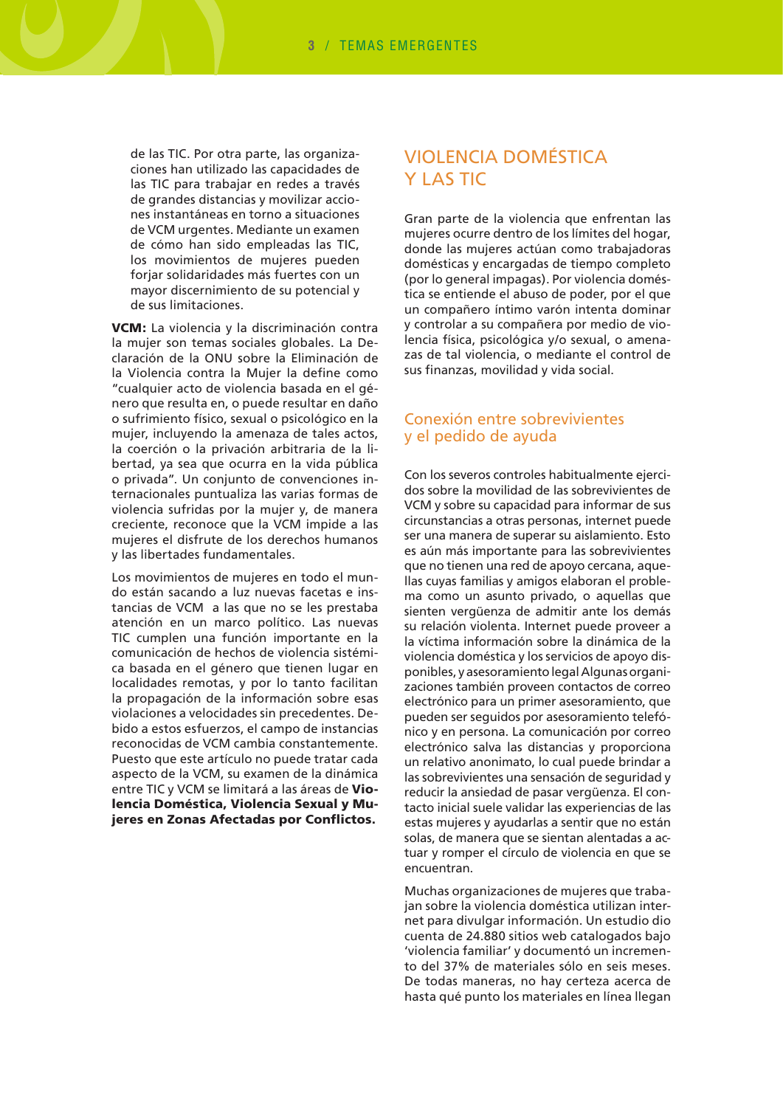de las TIC. Por otra parte, las organizaciones han utilizado las capacidades de las TIC para trabaiar en redes a través de arandes distancias y movilizar acciones instantáneas en torno a situaciones de VCM urgentes. Mediante un examen de cómo han sido empleadas las TIC, los movimientos de mujeres pueden forjar solidaridades más fuertes con un mayor discernimiento de su potencial y de sus limitaciones.

VCM: La violencia y la discriminación contra la muier son temas sociales globales. La Declaración de la ONU sobre la Eliminación de la Violencia contra la Mujer la define como "cualquier acto de violencia basada en el género que resulta en, o puede resultar en daño o sufrimiento físico, sexual o psicológico en la mujer, incluyendo la amenaza de tales actos, la coerción o la privación arbitraria de la libertad, ya sea que ocurra en la vida pública o privada". Un conjunto de convenciones internacionales puntualiza las varias formas de violencia sufridas por la mujer y, de manera creciente, reconoce que la VCM impide a las mujeres el disfrute de los derechos humanos y las libertades fundamentales.

Los movimientos de mujeres en todo el mundo están sacando a luz nuevas facetas e instancias de VCM a las que no se les prestaba atención en un marco político. Las nuevas TIC cumplen una función importante en la comunicación de hechos de violencia sistémica basada en el género que tienen lugar en localidades remotas, y por lo tanto facilitan la propagación de la información sobre esas violaciones a velocidades sin precedentes. Debido a estos esfuerzos, el campo de instancias reconocidas de VCM cambia constantemente. Puesto que este artículo no puede tratar cada aspecto de la VCM, su examen de la dinámica entre TIC y VCM se limitará a las áreas de Violencia Doméstica, Violencia Sexual y Mujeres en Zonas Afectadas por Conflictos.

## **VIOLENCIA DOMÉSTICA Y LAS TIC**

Gran parte de la violencia que enfrentan las mujeres ocurre dentro de los límites del hogar, donde las mujeres actúan como trabajadoras domésticas y encargadas de tiempo completo (por lo general impagas). Por violencia doméstica se entiende el abuso de poder, por el que un compañero íntimo varón intenta dominar y controlar a su compañera por medio de violencia física, psicológica y/o sexual, o amenazas de tal violencia, o mediante el control de sus finanzas, movilidad y vida social.

#### Conexión entre sobrevivientes y el pedido de ayuda

Con los severos controles habitualmente eiercidos sobre la movilidad de las sobrevivientes de VCM y sobre su capacidad para informar de sus circunstancias a otras personas, internet puede ser una manera de superar su aislamiento. Esto es aún más importante para las sobrevivientes que no tienen una red de apoyo cercana, aquellas cuyas familias y amigos elaboran el problema como un asunto privado, o aquellas que sienten vergüenza de admitir ante los demás su relación violenta. Internet puede proveer a la víctima información sobre la dinámica de la violencia doméstica y los servicios de apovo disponibles, y asesoramiento legal Algunas organizaciones también proveen contactos de correo electrónico para un primer asesoramiento, que pueden ser seguidos por asesoramiento telefónico y en persona. La comunicación por correo electrónico salva las distancias y proporciona un relativo anonimato, lo cual puede brindar a las sobrevivientes una sensación de seguridad y reducir la ansiedad de pasar vergüenza. El contacto inicial suele validar las experiencias de las estas mujeres y ayudarlas a sentir que no están solas, de manera que se sientan alentadas a actuar y romper el círculo de violencia en que se encuentran.

Muchas organizaciones de mujeres que trabajan sobre la violencia doméstica utilizan internet para divulgar información. Un estudio dio cuenta de 24.880 sitios web catalogados bajo 'violencia familiar' y documentó un incremento del 37% de materiales sólo en seis meses. De todas maneras, no hay certeza acerca de hasta qué punto los materiales en línea llegan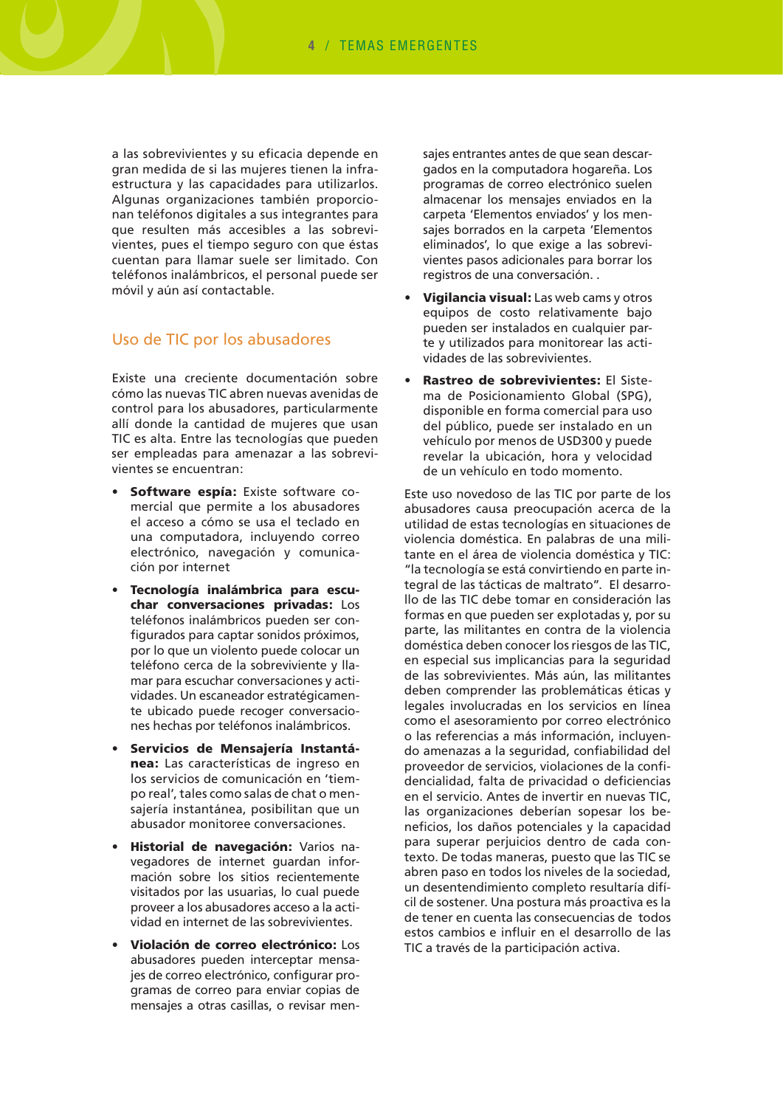a las sobrevivientes y su eficacia depende en gran medida de si las mujeres tienen la infraestructura y las capacidades para utilizarlos. Algunas organizaciones también proporcionan teléfonos digitales a sus integrantes para que resulten más accesibles a las sobrevivientes, pues el tiempo seguro con que éstas cuentan para llamar suele ser limitado. Con teléfonos inalámbricos, el personal puede ser móvil y aún así contactable.

#### Uso de TIC por los abusadores

Existe una creciente documentación sobre cómo las nuevas TIC abren nuevas avenidas de control para los abusadores, particularmente allí donde la cantidad de mujeres que usan TIC es alta. Entre las tecnologías que pueden ser empleadas para amenazar a las sobrevivientes se encuentran:

- Software espía: Existe software comercial que permite a los abusadores el acceso a cómo se usa el teclado en una computadora, incluyendo correo electrónico, navegación y comunicación por internet
- Tecnología inalámbrica para escuchar conversaciones privadas: Los teléfonos inalámbricos pueden ser configurados para captar sonidos próximos, por lo que un violento puede colocar un teléfono cerca de la sobreviviente y llamar para escuchar conversaciones y actividades. Un escaneador estratégicamente ubicado puede recoger conversaciones hechas por teléfonos inalámbricos.
- Servicios de Mensajería Instantánea: Las características de ingreso en los servicios de comunicación en 'tiempo real', tales como salas de chat o mensajería instantánea, posibilitan que un abusador monitoree conversaciones.
- Historial de navegación: Varios navegadores de internet guardan información sobre los sitios recientemente visitados por las usuarias, lo cual puede proveer a los abusadores acceso a la actividad en internet de las sobrevivientes.
- Violación de correo electrónico: Los abusadores pueden interceptar mensajes de correo electrónico, configurar programas de correo para enviar copias de mensajes a otras casillas, o revisar men-

sajes entrantes antes de que sean descargados en la computadora hogareña. Los programas de correo electrónico suelen almacenar los mensajes enviados en la carpeta 'Elementos enviados' y los mensaies borrados en la carpeta 'Elementos eliminados', lo que exige a las sobrevivientes pasos adicionales para borrar los registros de una conversación...

- **Vigilancia visual:** Las web cams y otros equipos de costo relativamente bajo pueden ser instalados en cualquier parte y utilizados para monitorear las actividades de las sobrevivientes.
- Rastreo de sobrevivientes: El Sistema de Posicionamiento Global (SPG). disponible en forma comercial para uso del público, puede ser instalado en un vehículo por menos de USD300 y puede revelar la ubicación, hora y velocidad de un vehículo en todo momento.

Este uso novedoso de las TIC por parte de los abusadores causa preocupación acerca de la utilidad de estas tecnologías en situaciones de violencia doméstica. En palabras de una militante en el área de violencia doméstica y TIC: "la tecnología se está convirtiendo en parte integral de las tácticas de maltrato". El desarrollo de las TIC debe tomar en consideración las formas en que pueden ser explotadas y, por su parte, las militantes en contra de la violencia doméstica deben conocer los riesgos de las TIC, en especial sus implicancias para la seguridad de las sobrevivientes. Más aún, las militantes deben comprender las problemáticas éticas y legales involucradas en los servicios en línea como el asesoramiento por correo electrónico o las referencias a más información, incluyendo amenazas a la seguridad, confiabilidad del proveedor de servicios, violaciones de la confidencialidad, falta de privacidad o deficiencias en el servicio. Antes de invertir en nuevas TIC, las organizaciones deberían sopesar los beneficios, los daños potenciales y la capacidad para superar perjuicios dentro de cada contexto. De todas maneras, puesto que las TIC se abren paso en todos los niveles de la sociedad. un desentendimiento completo resultaría difícil de sostener. Una postura más proactiva es la de tener en cuenta las consecuencias de todos estos cambios e influir en el desarrollo de las TIC a través de la participación activa.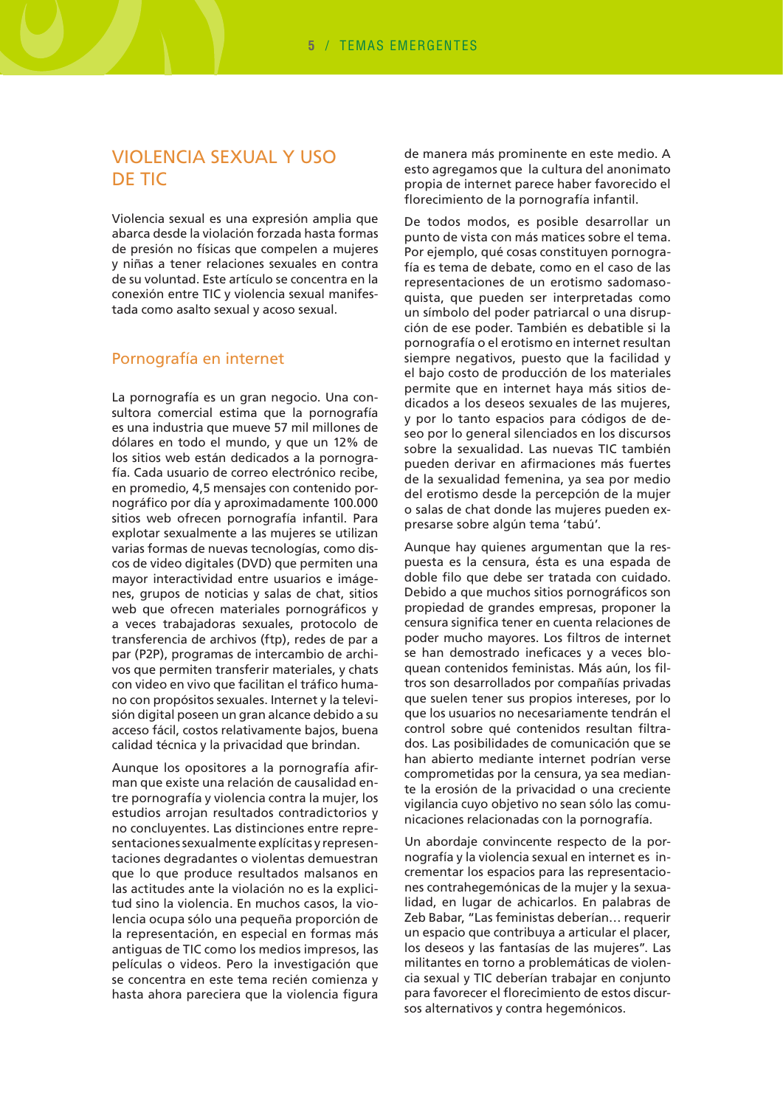## **VIOLENCIA SEXUAL Y USO DE TIC**

Violencia sexual es una expresión amplia que abarca desde la violación forzada hasta formas de presión no físicas que compelen a mujeres y niñas a tener relaciones sexuales en contra de su voluntad. Este artículo se concentra en la conexión entre TIC y violencia sexual manifestada como asalto sexual y acoso sexual.

#### Pornografía en internet

La pornografía es un gran negocio. Una consultora comercial estima que la pornografía es una industria que mueve 57 mil millones de dólares en todo el mundo, y que un 12% de los sitios web están dedicados a la pornografía. Cada usuario de correo electrónico recibe. en promedio, 4,5 mensajes con contenido pornográfico por día y aproximadamente 100.000 sitios web ofrecen pornografía infantil. Para explotar sexualmente a las mujeres se utilizan varias formas de nuevas tecnologías, como discos de video digitales (DVD) que permiten una mayor interactividad entre usuarios e imágenes, grupos de noticias y salas de chat, sitios web que ofrecen materiales pornográficos y a veces trabajadoras sexuales, protocolo de transferencia de archivos (ftp), redes de par a par (P2P), programas de intercambio de archivos que permiten transferir materiales, y chats con video en vivo que facilitan el tráfico humano con propósitos sexuales. Internet y la televisión digital poseen un gran alcance debido a su acceso fácil, costos relativamente bajos, buena calidad técnica y la privacidad que brindan.

Aunque los opositores a la pornografía afirman que existe una relación de causalidad entre pornografía y violencia contra la mujer, los estudios arrojan resultados contradictorios y no concluyentes. Las distinciones entre representaciones sexualmente explícitas y representaciones degradantes o violentas demuestran que lo que produce resultados malsanos en las actitudes ante la violación no es la explicitud sino la violencia. En muchos casos, la violencia ocupa sólo una pequeña proporción de la representación, en especial en formas más antiquas de TIC como los medios impresos, las películas o videos. Pero la investigación que se concentra en este tema recién comienza y hasta ahora pareciera que la violencia figura

de manera más prominente en este medio. A esto agregamos que la cultura del anonimato propia de internet parece haber favorecido el florecimiento de la pornografía infantil.

De todos modos, es posible desarrollar un punto de vista con más matices sobre el tema. Por ejemplo, qué cosas constituyen pornografía es tema de debate, como en el caso de las representaciones de un erotismo sadomasoquista, que pueden ser interpretadas como un símbolo del poder patriarcal o una disrupción de ese poder. También es debatible si la pornografía o el erotismo en internet resultan siempre negativos, puesto que la facilidad y el bajo costo de producción de los materiales permite que en internet haya más sitios dedicados a los deseos sexuales de las mujeres, y por lo tanto espacios para códigos de deseo por lo general silenciados en los discursos sobre la sexualidad. Las nuevas TIC también pueden derivar en afirmaciones más fuertes de la sexualidad femenina, ya sea por medio del erotismo desde la percepción de la mujer o salas de chat donde las mujeres pueden expresarse sobre algún tema 'tabú'.

Aunque hay quienes argumentan que la respuesta es la censura, ésta es una espada de doble filo que debe ser tratada con cuidado. Debido a que muchos sitios pornográficos son propiedad de grandes empresas, proponer la censura significa tener en cuenta relaciones de poder mucho mayores. Los filtros de internet se han demostrado ineficaces y a veces bloquean contenidos feministas. Más aún, los filtros son desarrollados por compañías privadas que suelen tener sus propios intereses, por lo que los usuarios no necesariamente tendrán el control sobre qué contenidos resultan filtrados. Las posibilidades de comunicación que se han abierto mediante internet podrían verse comprometidas por la censura, ya sea mediante la erosión de la privacidad o una creciente vigilancia cuyo objetivo no sean sólo las comunicaciones relacionadas con la pornografía.

Un abordaje convincente respecto de la pornografía y la violencia sexual en internet es incrementar los espacios para las representaciones contrahegemónicas de la mujer y la sexualidad, en lugar de achicarlos. En palabras de Zeb Babar, "Las feministas deberían... requerir un espacio que contribuya a articular el placer, los deseos y las fantasías de las mujeres". Las militantes en torno a problemáticas de violencia sexual y TIC deberían trabajar en conjunto para favorecer el florecimiento de estos discursos alternativos y contra hegemónicos.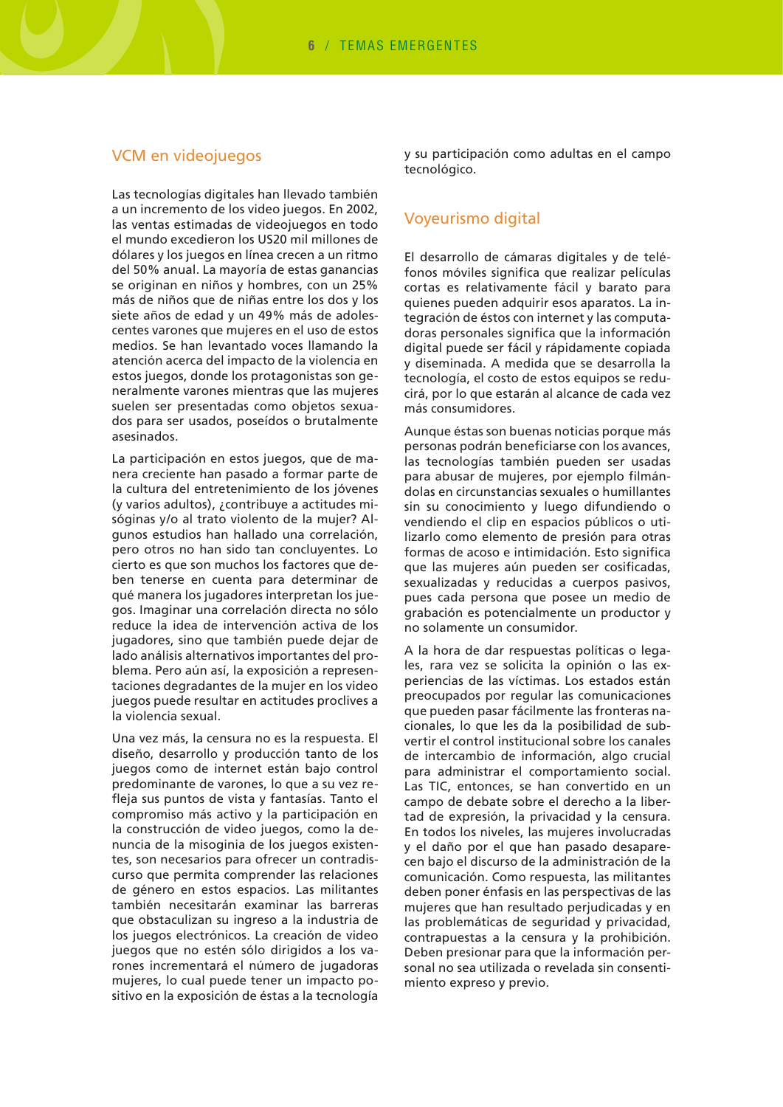#### VCM en videojuegos

Las tecnologías digitales han llevado también a un incremento de los video juegos. En 2002, las ventas estimadas de videojuegos en todo el mundo excedieron los US20 mil millones de dólares y los juegos en línea crecen a un ritmo del 50% anual. La mayoría de estas ganancias se originan en niños y hombres, con un 25% más de niños que de niñas entre los dos y los siete años de edad y un 49% más de adolescentes varones que mujeres en el uso de estos medios. Se han levantado voces llamando la atención acerca del impacto de la violencia en estos juegos, donde los protagonistas son generalmente varones mientras que las mujeres suelen ser presentadas como objetos sexuados para ser usados, poseídos o brutalmente asesinados.

La participación en estos juegos, que de manera creciente han pasado a formar parte de la cultura del entretenimiento de los jóvenes (y varios adultos), ¿contribuye a actitudes misóginas y/o al trato violento de la mujer? Algunos estudios han hallado una correlación, pero otros no han sido tan concluyentes. Lo cierto es que son muchos los factores que deben tenerse en cuenta para determinar de qué manera los jugadores interpretan los juegos. Imaginar una correlación directa no sólo reduce la idea de intervención activa de los jugadores, sino que también puede dejar de lado análisis alternativos importantes del problema. Pero aún así, la exposición a representaciones degradantes de la mujer en los video juegos puede resultar en actitudes proclives a la violencia sexual.

Una vez más, la censura no es la respuesta. El diseño, desarrollo y producción tanto de los juegos como de internet están bajo control predominante de varones, lo que a su vez refleja sus puntos de vista y fantasías. Tanto el compromiso más activo y la participación en la construcción de video juegos, como la denuncia de la misoginia de los juegos existentes, son necesarios para ofrecer un contradiscurso que permita comprender las relaciones de género en estos espacios. Las militantes también necesitarán examinar las barreras que obstaculizan su ingreso a la industria de los juegos electrónicos. La creación de video juegos que no estén sólo dirigidos a los varones incrementará el número de jugadoras mujeres, lo cual puede tener un impacto positivo en la exposición de éstas a la tecnología

y su participación como adultas en el campo tecnológico.

#### Voyeurismo digital

El desarrollo de cámaras digitales y de teléfonos móviles significa que realizar películas cortas es relativamente fácil y barato para quienes pueden adquirir esos aparatos. La integración de éstos con internet y las computadoras personales significa que la información digital puede ser fácil y rápidamente copiada y diseminada. A medida que se desarrolla la tecnología, el costo de estos equipos se reducirá, por lo que estarán al alcance de cada vez más consumidores.

Aunque éstas son buenas noticias porque más personas podrán beneficiarse con los avances, las tecnologías también pueden ser usadas para abusar de mujeres, por ejemplo filmándolas en circunstancias sexuales o humillantes sin su conocimiento y luego difundiendo o vendiendo el clip en espacios públicos o utilizarlo como elemento de presión para otras formas de acoso e intimidación. Esto significa que las mujeres aún pueden ser cosificadas, sexualizadas y reducidas a cuerpos pasivos, pues cada persona que posee un medio de grabación es potencialmente un productor y no solamente un consumidor.

A la hora de dar respuestas políticas o legales, rara vez se solicita la opinión o las experiencias de las víctimas. Los estados están preocupados por regular las comunicaciones que pueden pasar fácilmente las fronteras nacionales, lo que les da la posibilidad de subvertir el control institucional sobre los canales de intercambio de información, algo crucial para administrar el comportamiento social. Las TIC, entonces, se han convertido en un campo de debate sobre el derecho a la libertad de expresión, la privacidad y la censura. En todos los niveles, las mujeres involucradas y el daño por el que han pasado desaparecen bajo el discurso de la administración de la comunicación. Como respuesta, las militantes deben poner énfasis en las perspectivas de las mujeres que han resultado perjudicadas y en las problemáticas de seguridad y privacidad, contrapuestas a la censura y la prohibición. Deben presionar para que la información personal no sea utilizada o revelada sin consentimiento expreso y previo.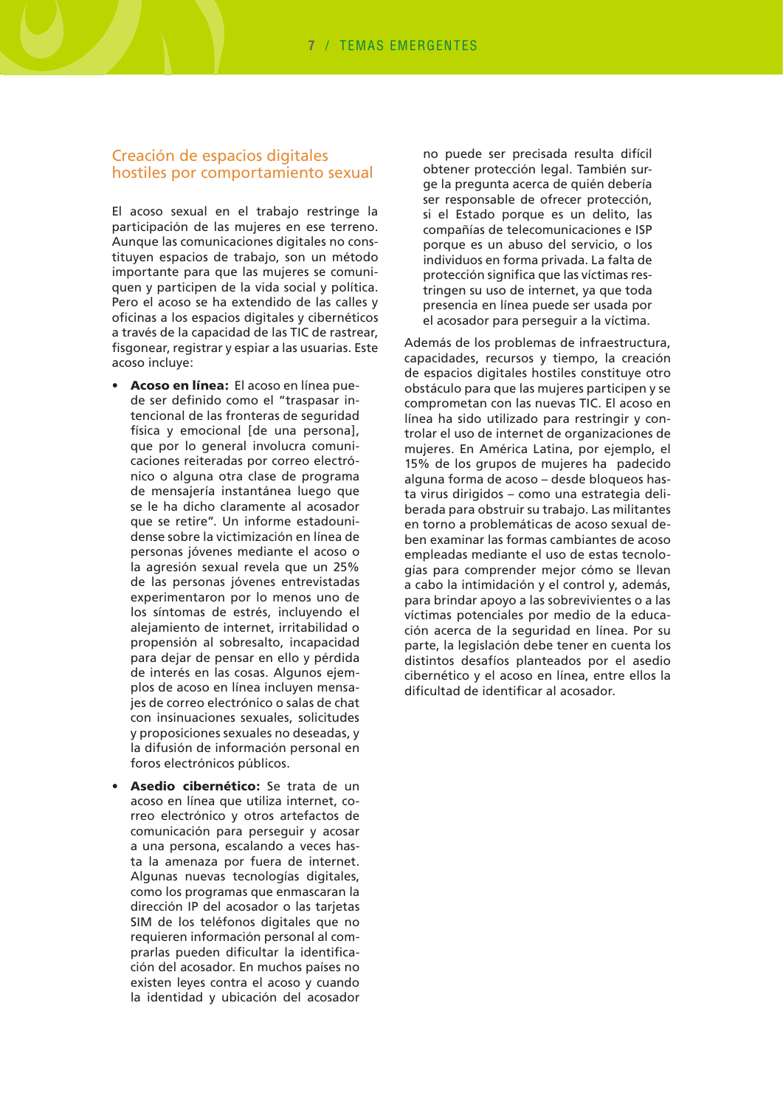#### Creación de espacios digitales hostiles por comportamiento sexual

El acoso sexual en el trabajo restringe la participación de las mujeres en ese terreno. Aunque las comunicaciones digitales no constituyen espacios de trabajo, son un método importante para que las mujeres se comuniquen y participen de la vida social y política. Pero el acoso se ha extendido de las calles y oficinas a los espacios digitales y cibernéticos a través de la capacidad de las TIC de rastrear, fisgonear, registrar y espiar a las usuarias. Este acoso incluye:

- Acoso en línea: El acoso en línea puede ser definido como el "traspasar intencional de las fronteras de seguridad física y emocional [de una persona], que por lo general involucra comunicaciones reiteradas por correo electrónico o alguna otra clase de programa de mensajería instantánea luego que se le ha dicho claramente al acosador que se retire". Un informe estadounidense sobre la victimización en línea de personas jóvenes mediante el acoso o la agresión sexual revela que un 25% de las personas jóvenes entrevistadas experimentaron por lo menos uno de los síntomas de estrés, incluyendo el alejamiento de internet, irritabilidad o propensión al sobresalto, incapacidad para dejar de pensar en ello y pérdida de interés en las cosas. Algunos ejemplos de acoso en línea incluyen mensajes de correo electrónico o salas de chat con insinuaciones sexuales, solicitudes y proposiciones sexuales no deseadas, y la difusión de información personal en foros electrónicos públicos.
- Asedio cibernético: Se trata de un acoso en línea que utiliza internet. correo electrónico y otros artefactos de comunicación para perseguir y acosar a una persona, escalando a veces hasta la amenaza por fuera de internet. Algunas nuevas tecnologías digitales, como los programas que enmascaran la dirección IP del acosador o las tarjetas SIM de los teléfonos digitales que no requieren información personal al comprarlas pueden dificultar la identificación del acosador. En muchos países no existen leyes contra el acoso y cuando la identidad y ubicación del acosador

no puede ser precisada resulta difícil obtener protección legal. También surge la pregunta acerca de quién debería ser responsable de ofrecer protección. si el Estado porque es un delito, las compañías de telecomunicaciones e ISP porque es un abuso del servicio, o los individuos en forma privada. La falta de protección significa que las víctimas restringen su uso de internet, ya que toda presencia en línea puede ser usada por el acosador para perseguir a la víctima.

Además de los problemas de infraestructura. capacidades, recursos y tiempo, la creación de espacios digitales hostiles constituve otro obstáculo para que las mujeres participen y se comprometan con las nuevas TIC. El acoso en línea ha sido utilizado para restringir y controlar el uso de internet de organizaciones de mujeres. En América Latina, por ejemplo, el 15% de los grupos de mujeres ha padecido alguna forma de acoso - desde bloqueos hasta virus dirigidos - como una estrategia deliberada para obstruir su trabajo. Las militantes en torno a problemáticas de acoso sexual deben examinar las formas cambiantes de acoso empleadas mediante el uso de estas tecnologías para comprender mejor cómo se llevan a cabo la intimidación y el control y, además, para brindar apovo a las sobrevivientes o a las víctimas potenciales por medio de la educación acerca de la seguridad en línea. Por su parte, la legislación debe tener en cuenta los distintos desafíos planteados por el asedio cibernético y el acoso en línea, entre ellos la dificultad de identificar al acosador.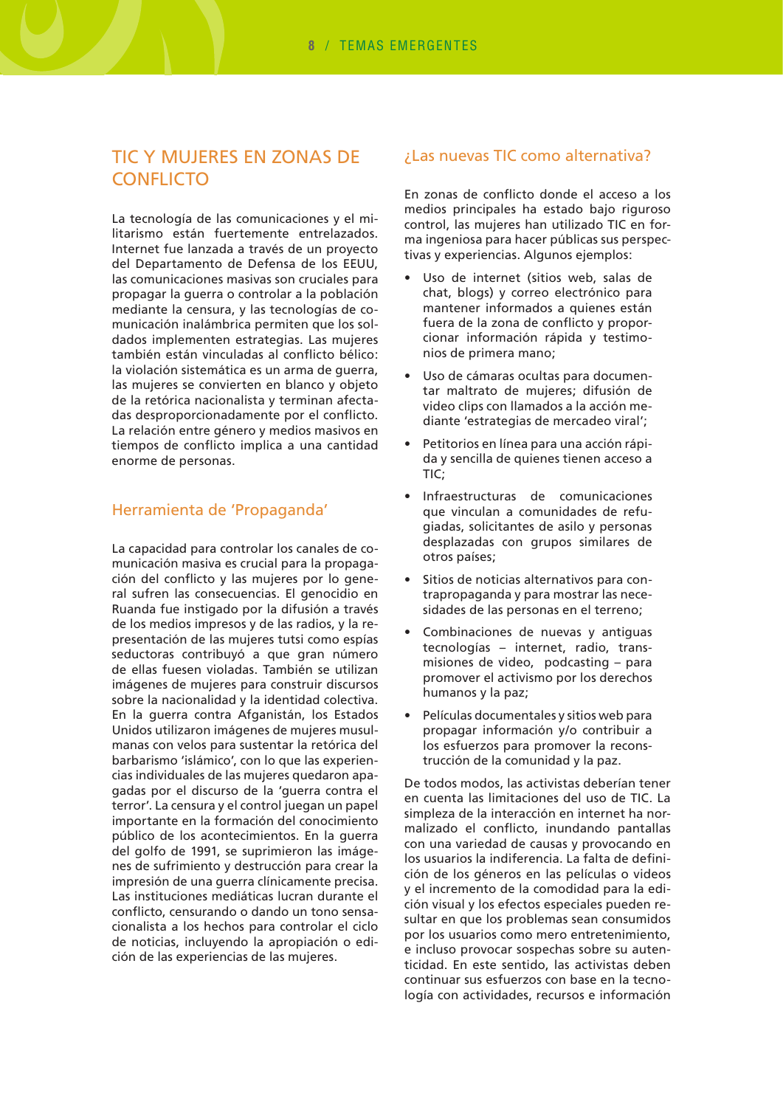## **TIC Y MUJERES EN ZONAS DE CONFLICTO**

La tecnología de las comunicaciones y el militarismo están fuertemente entrelazados. Internet fue lanzada a través de un proyecto del Departamento de Defensa de los EEUU, las comunicaciones masivas son cruciales para propagar la guerra o controlar a la población mediante la censura, y las tecnologías de comunicación inalámbrica permiten que los soldados implementen estrategias. Las mujeres también están vinculadas al conflicto bélico: la violación sistemática es un arma de querra. las mujeres se convierten en blanco y objeto de la retórica nacionalista y terminan afectadas desproporcionadamente por el conflicto. La relación entre género y medios masivos en tiempos de conflicto implica a una cantidad enorme de personas.

#### Herramienta de 'Propaganda'

La capacidad para controlar los canales de comunicación masiva es crucial para la propagación del conflicto y las mujeres por lo general sufren las consecuencias. El genocidio en Ruanda fue instigado por la difusión a través de los medios impresos y de las radios, y la representación de las mujeres tutsi como espías seductoras contribuyó a que gran número de ellas fuesen violadas. También se utilizan imágenes de mujeres para construir discursos sobre la nacionalidad y la identidad colectiva. En la querra contra Afganistán, los Estados Unidos utilizaron imágenes de mujeres musulmanas con velos para sustentar la retórica del barbarismo 'islámico', con lo que las experiencias individuales de las mujeres quedaron apagadas por el discurso de la 'guerra contra el terror'. La censura y el control juegan un papel importante en la formación del conocimiento público de los acontecimientos. En la querra del golfo de 1991, se suprimieron las imágenes de sufrimiento y destrucción para crear la impresión de una querra clínicamente precisa. Las instituciones mediáticas lucran durante el conflicto, censurando o dando un tono sensacionalista a los hechos para controlar el ciclo de noticias, incluyendo la apropiación o edición de las experiencias de las mujeres.

#### ¿Las nuevas TIC como alternativa?

En zonas de conflicto donde el acceso a los medios principales ha estado bajo riguroso control, las muieres han utilizado TIC en forma ingeniosa para hacer públicas sus perspectivas y experiencias. Algunos ejemplos:

- Uso de internet (sitios web, salas de chat, blogs) y correo electrónico para mantener informados a quienes están fuera de la zona de conflicto y proporcionar información rápida y testimonios de primera mano;
- Uso de cámaras ocultas para documentar maltrato de mujeres; difusión de video clips con llamados a la acción mediante 'estrategias de mercadeo viral';
- Petitorios en línea para una acción rápida y sencilla de quienes tienen acceso a TIC;
- Infraestructuras de comunicaciones que vinculan a comunidades de refugiadas, solicitantes de asilo y personas desplazadas con grupos similares de otros países;
- Sitios de noticias alternativos para contrapropaganda y para mostrar las necesidades de las personas en el terreno;
- Combinaciones de nuevas y antiguas tecnologías - internet, radio, transmisiones de video, podcasting - para promover el activismo por los derechos humanos y la paz;
- Películas documentales y sitios web para propagar información y/o contribuir a los esfuerzos para promover la reconstrucción de la comunidad y la paz.

De todos modos, las activistas deberían tener en cuenta las limitaciones del uso de TIC. La simpleza de la interacción en internet ha normalizado el conflicto, inundando pantallas con una variedad de causas y provocando en los usuarios la indiferencia. La falta de definición de los géneros en las películas o videos y el incremento de la comodidad para la edición visual y los efectos especiales pueden resultar en que los problemas sean consumidos por los usuarios como mero entretenimiento, e incluso provocar sospechas sobre su autenticidad. En este sentido, las activistas deben continuar sus esfuerzos con base en la tecnología con actividades, recursos e información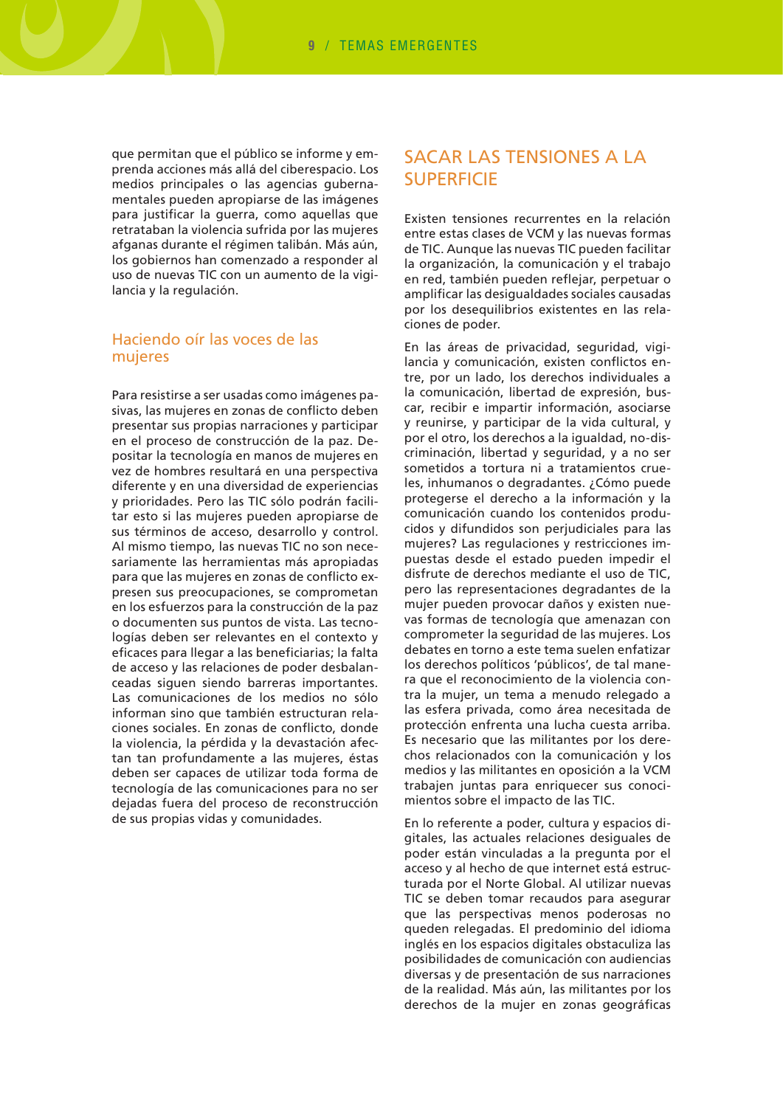que permitan que el público se informe y emprenda acciones más allá del ciberespacio. Los medios principales o las agencias qubernamentales pueden apropiarse de las imágenes para justificar la guerra, como aquellas que retrataban la violencia sufrida por las mujeres afganas durante el régimen talibán. Más aún, los gobiernos han comenzado a responder al uso de nuevas TIC con un aumento de la vigilancia y la regulación.

#### Haciendo oír las voces de las mujeres

Para resistirse a ser usadas como imágenes pasivas, las mujeres en zonas de conflicto deben presentar sus propias narraciones y participar en el proceso de construcción de la paz. Depositar la tecnología en manos de mujeres en vez de hombres resultará en una perspectiva diferente y en una diversidad de experiencias y prioridades. Pero las TIC sólo podrán facilitar esto si las mujeres pueden apropiarse de sus términos de acceso, desarrollo y control. Al mismo tiempo, las nuevas TIC no son necesariamente las herramientas más apropiadas para que las mujeres en zonas de conflicto expresen sus preocupaciones, se comprometan en los esfuerzos para la construcción de la paz o documenten sus puntos de vista. Las tecnologías deben ser relevantes en el contexto y eficaces para llegar a las beneficiarias; la falta de acceso y las relaciones de poder desbalanceadas siguen siendo barreras importantes. Las comunicaciones de los medios no sólo informan sino que también estructuran relaciones sociales. En zonas de conflicto, donde la violencia, la pérdida y la devastación afectan tan profundamente a las mujeres, éstas deben ser capaces de utilizar toda forma de tecnología de las comunicaciones para no ser dejadas fuera del proceso de reconstrucción de sus propias vidas y comunidades.

### **SACAR LAS TENSIONES A LA SUPERFICIE**

Existen tensiones recurrentes en la relación entre estas clases de VCM y las nuevas formas de TIC. Aunque las nuevas TIC pueden facilitar la organización, la comunicación y el trabajo en red, también pueden reflejar, perpetuar o amplificar las desigualdades sociales causadas por los desequilibrios existentes en las relaciones de poder.

En las áreas de privacidad, seguridad, vigilancia y comunicación, existen conflictos entre, por un lado, los derechos individuales a la comunicación, libertad de expresión, buscar, recibir e impartir información, asociarse y reunirse, y participar de la vida cultural, y por el otro, los derechos a la igualdad, no-discriminación, libertad y seguridad, y a no ser sometidos a tortura ni a tratamientos crueles, inhumanos o degradantes, ¿Cómo puede protegerse el derecho a la información y la comunicación cuando los contenidos producidos y difundidos son perjudiciales para las mujeres? Las regulaciones y restricciones impuestas desde el estado pueden impedir el disfrute de derechos mediante el uso de TIC, pero las representaciones degradantes de la mujer pueden provocar daños y existen nuevas formas de tecnología que amenazan con comprometer la seguridad de las mujeres. Los debates en torno a este tema suelen enfatizar los derechos políticos 'públicos', de tal manera que el reconocimiento de la violencia contra la mujer, un tema a menudo relegado a las esfera privada, como área necesitada de protección enfrenta una lucha cuesta arriba. Es necesario que las militantes por los derechos relacionados con la comunicación y los medios y las militantes en oposición a la VCM trabaien juntas para enriquecer sus conocimientos sobre el impacto de las TIC.

En lo referente a poder, cultura y espacios digitales, las actuales relaciones desiguales de poder están vinculadas a la pregunta por el acceso y al hecho de que internet está estructurada por el Norte Global. Al utilizar nuevas TIC se deben tomar recaudos para asegurar que las perspectivas menos poderosas no queden relegadas. El predominio del idioma inglés en los espacios digitales obstaculiza las posibilidades de comunicación con audiencias diversas y de presentación de sus narraciones de la realidad. Más aún, las militantes por los derechos de la mujer en zonas geográficas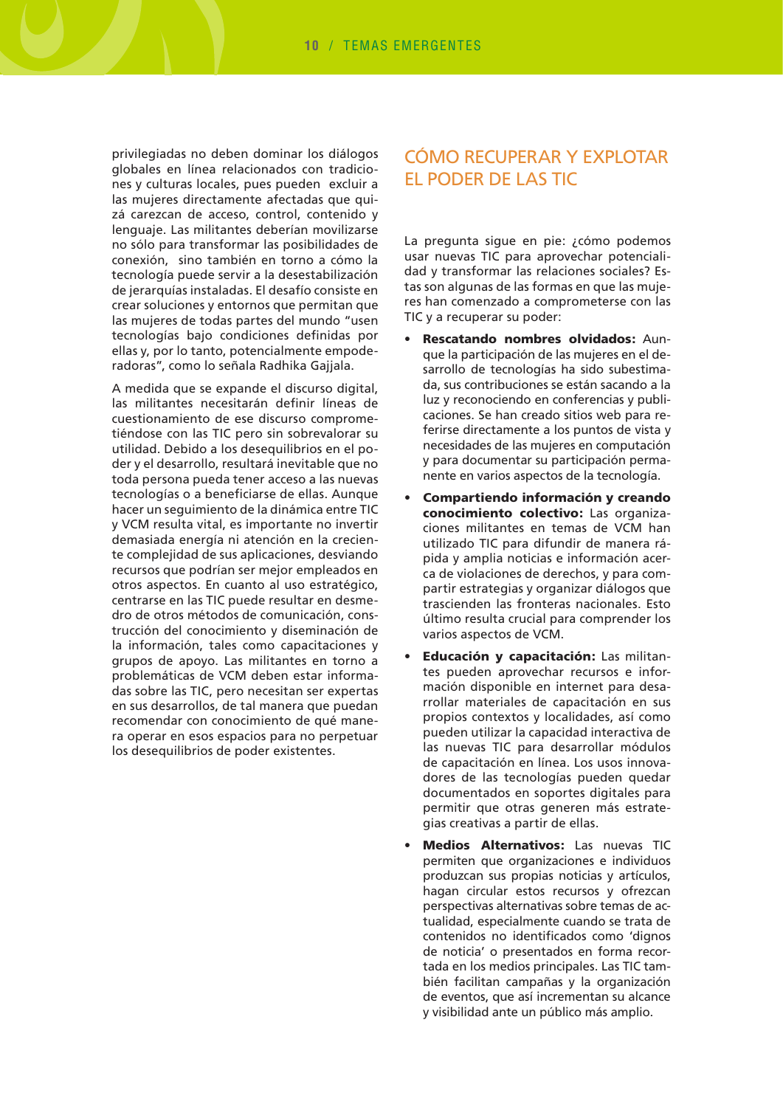privilegiadas no deben dominar los diálogos globales en línea relacionados con tradiciones y culturas locales, pues pueden excluir a las mujeres directamente afectadas que quizá carezcan de acceso, control, contenido y lenquaje. Las militantes deberían movilizarse no sólo para transformar las posibilidades de conexión, sino también en torno a cómo la tecnología puede servir a la desestabilización de jerarquías instaladas. El desafío consiste en crear soluciones y entornos que permitan que las mujeres de todas partes del mundo "usen tecnologías bajo condiciones definidas por ellas y, por lo tanto, potencialmente empoderadoras", como lo señala Radhika Gajjala.

A medida que se expande el discurso digital, las militantes necesitarán definir líneas de cuestionamiento de ese discurso comprometiéndose con las TIC pero sin sobrevalorar su utilidad. Debido a los desequilibrios en el poder y el desarrollo, resultará inevitable que no toda persona pueda tener acceso a las nuevas tecnologías o a beneficiarse de ellas. Aunque hacer un seguimiento de la dinámica entre TIC y VCM resulta vital, es importante no invertir demasiada energía ni atención en la creciente complejidad de sus aplicaciones, desviando recursos que podrían ser mejor empleados en otros aspectos. En cuanto al uso estratégico, centrarse en las TIC puede resultar en desmedro de otros métodos de comunicación, construcción del conocimiento y diseminación de la información, tales como capacitaciones y grupos de apoyo. Las militantes en torno a problemáticas de VCM deben estar informadas sobre las TIC, pero necesitan ser expertas en sus desarrollos, de tal manera que puedan recomendar con conocimiento de qué manera operar en esos espacios para no perpetuar los desequilibrios de poder existentes.

## CÓMO RECUPERAR Y EXPLOTAR **EL PODER DE LAS TIC**

La pregunta sigue en pie: ¿cómo podemos usar nuevas TIC para aprovechar potencialidad y transformar las relaciones sociales? Estas son algunas de las formas en que las mujeres han comenzado a comprometerse con las TIC y a recuperar su poder:

- Rescatando nombres olvidados: Aunque la participación de las mujeres en el desarrollo de tecnologías ha sido subestimada, sus contribuciones se están sacando a la luz y reconociendo en conferencias y publicaciones. Se han creado sitios web para referirse directamente a los puntos de vista y necesidades de las mujeres en computación y para documentar su participación permanente en varios aspectos de la tecnología.
- Compartiendo información y creando conocimiento colectivo: Las organizaciones militantes en temas de VCM han utilizado TIC para difundir de manera rápida y amplia noticias e información acerca de violaciones de derechos, y para compartir estrategias y organizar diálogos que trascienden las fronteras nacionales. Esto último resulta crucial para comprender los varios aspectos de VCM.
- Educación y capacitación: Las militantes pueden aprovechar recursos e información disponible en internet para desarrollar materiales de capacitación en sus propios contextos y localidades, así como pueden utilizar la capacidad interactiva de las nuevas TIC para desarrollar módulos de capacitación en línea. Los usos innovadores de las tecnologías pueden quedar documentados en soportes digitales para permitir que otras generen más estrategias creativas a partir de ellas.
- Medios Alternativos: Las nuevas TIC permiten que organizaciones e individuos produzcan sus propias noticias y artículos, hagan circular estos recursos y ofrezcan perspectivas alternativas sobre temas de actualidad, especialmente cuando se trata de contenidos no identificados como 'dignos de noticia' o presentados en forma recortada en los medios principales. Las TIC también facilitan campañas y la organización de eventos, que así incrementan su alcance y visibilidad ante un público más amplio.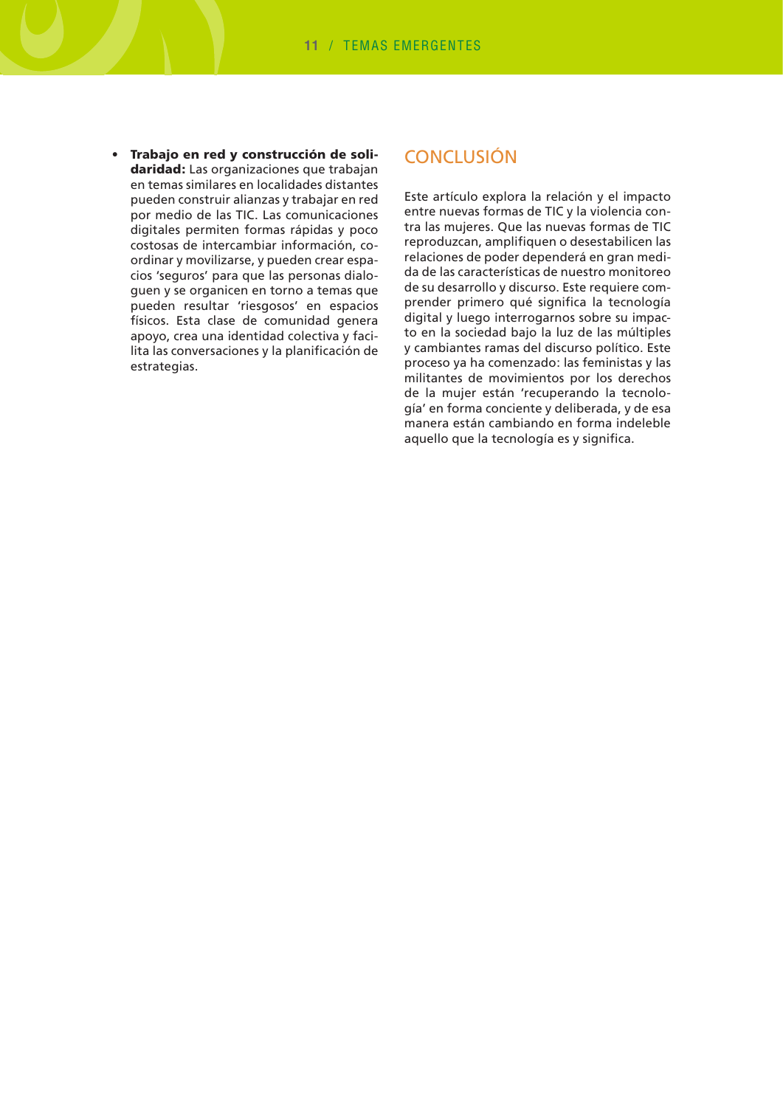Trabaio en red y construcción de soli- $\bullet$ daridad: Las organizaciones que trabajan en temas similares en localidades distantes pueden construir alianzas y trabajar en red por medio de las TIC. Las comunicaciones digitales permiten formas rápidas y poco costosas de intercambiar información, coordinar y movilizarse, y pueden crear espacios 'seguros' para que las personas dialoquen y se organicen en torno a temas que pueden resultar 'riesgosos' en espacios físicos. Esta clase de comunidad genera apoyo, crea una identidad colectiva y facilita las conversaciones y la planificación de estrategias.

## **CONCLUSIÓN**

Este artículo explora la relación y el impacto entre nuevas formas de TIC y la violencia contra las mujeres. Que las nuevas formas de TIC reproduzcan, amplifiquen o desestabilicen las relaciones de poder dependerá en gran medida de las características de nuestro monitoreo de su desarrollo y discurso. Este requiere comprender primero qué significa la tecnología digital y luego interrogarnos sobre su impacto en la sociedad bajo la luz de las múltiples y cambiantes ramas del discurso político. Este proceso ya ha comenzado: las feministas y las militantes de movimientos por los derechos de la mujer están 'recuperando la tecnología' en forma conciente y deliberada, y de esa manera están cambiando en forma indeleble aquello que la tecnología es y significa.